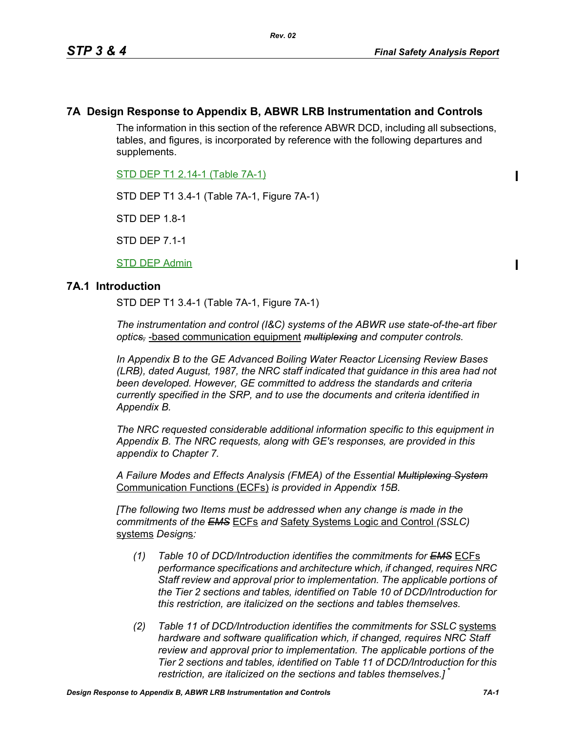$\blacksquare$ 

 $\blacksquare$ 

# **7A Design Response to Appendix B, ABWR LRB Instrumentation and Controls**

The information in this section of the reference ABWR DCD, including all subsections, tables, and figures, is incorporated by reference with the following departures and supplements.

STD DEP T1 2.14-1 (Table 7A-1)

STD DEP T1 3.4-1 (Table 7A-1, Figure 7A-1)

STD DEP 1.8-1

STD DEP 7.1-1

STD DEP Admin

### **7A.1 Introduction**

STD DEP T1 3.4-1 (Table 7A-1, Figure 7A-1)

*The instrumentation and control (I&C) systems of the ABWR use state-of-the-art fiber optics,* -based communication equipment *multiplexing and computer controls.* 

*In Appendix B to the GE Advanced Boiling Water Reactor Licensing Review Bases (LRB), dated August, 1987, the NRC staff indicated that guidance in this area had not been developed. However, GE committed to address the standards and criteria currently specified in the SRP, and to use the documents and criteria identified in Appendix B.*

*The NRC requested considerable additional information specific to this equipment in Appendix B. The NRC requests, along with GE's responses, are provided in this appendix to Chapter 7.*

*A Failure Modes and Effects Analysis (FMEA) of the Essential Multiplexing System* Communication Functions (ECFs) *is provided in Appendix 15B.*

*[The following two Items must be addressed when any change is made in the commitments of the EMS* ECFs *and* Safety Systems Logic and Control *(SSLC)* systems *Design*s*:*

- *(1) Table 10 of DCD/Introduction identifies the commitments for EMS* ECFs *performance specifications and architecture which, if changed, requires NRC Staff review and approval prior to implementation. The applicable portions of the Tier 2 sections and tables, identified on Table 10 of DCD/Introduction for this restriction, are italicized on the sections and tables themselves.*
- *(2) Table 11 of DCD/Introduction identifies the commitments for SSLC* systems *hardware and software qualification which, if changed, requires NRC Staff review and approval prior to implementation. The applicable portions of the Tier 2 sections and tables, identified on Table 11 of DCD/Introduction for this restriction, are italicized on the sections and tables themselves.]* \*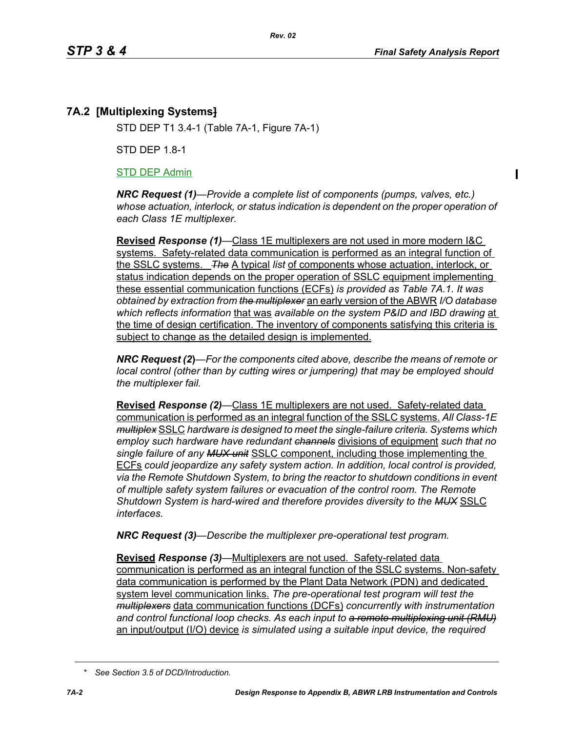# **7A.2 [Multiplexing Systems]**

STD DEP T1 3.4-1 (Table 7A-1, Figure 7A-1)

STD DEP 1.8-1

#### STD DEP Admin

*NRC Request (1)—Provide a complete list of components (pumps, valves, etc.) whose actuation, interlock, or status indication is dependent on the proper operation of each Class 1E multiplexer.*

**Revised** *Response (1)—*Class 1E multiplexers are not used in more modern I&C systems. Safety-related data communication is performed as an integral function of the SSLC systems. *The* A typical *list* of components whose actuation, interlock, or status indication depends on the proper operation of SSLC equipment implementing these essential communication functions (ECFs) *is provided as Table 7A.1. It was obtained by extraction from the multiplexer* an early version of the ABWR *I/O database which reflects information* that was *available on the system P&ID and IBD drawing* at the time of design certification. The inventory of components satisfying this criteria is subject to change as the detailed design is implemented.

*NRC Request (2***)***—For the components cited above, describe the means of remote or local control (other than by cutting wires or jumpering) that may be employed should the multiplexer fail.*

**Revised** *Response (2)—*Class 1E multiplexers are not used. Safety-related data communication is performed as an integral function of the SSLC systems. *All Class-1E multiplex* SSLC *hardware is designed to meet the single-failure criteria. Systems which employ such hardware have redundant channels* divisions of equipment *such that no single failure of any MUX unit* SSLC component, including those implementing the ECFs *could jeopardize any safety system action. In addition, local control is provided, via the Remote Shutdown System, to bring the reactor to shutdown conditions in event of multiple safety system failures or evacuation of the control room. The Remote Shutdown System is hard-wired and therefore provides diversity to the MUX* SSLC *interfaces.*

*NRC Request (3)—Describe the multiplexer pre-operational test program.*

**Revised** *Response (3)—*Multiplexers are not used. Safety-related data communication is performed as an integral function of the SSLC systems. Non-safety data communication is performed by the Plant Data Network (PDN) and dedicated system level communication links. *The pre-operational test program will test the multiplexers* data communication functions (DCFs) *concurrently with instrumentation and control functional loop checks. As each input to a remote multiplexing unit (RMU)* an input/output (I/O) device *is simulated using a suitable input device, the required* 

*<sup>\*</sup> See Section 3.5 of DCD/Introduction.*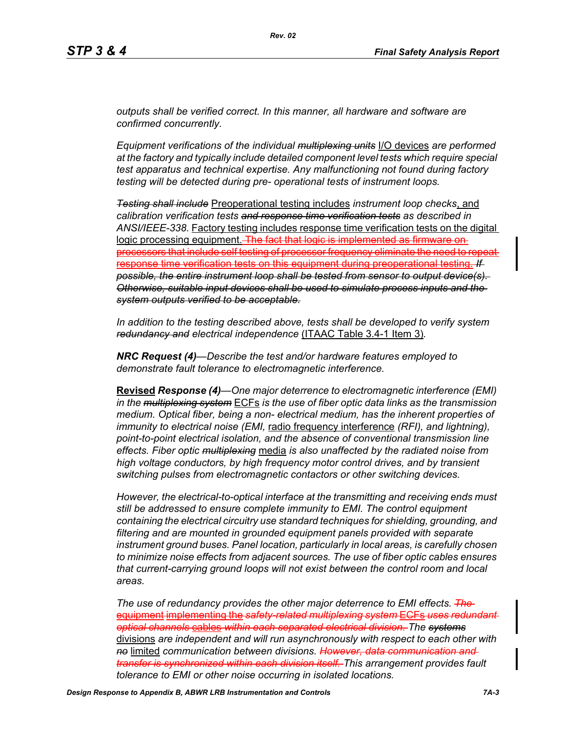*outputs shall be verified correct. In this manner, all hardware and software are confirmed concurrently.*

*Equipment verifications of the individual multiplexing units* I/O devices *are performed at the factory and typically include detailed component level tests which require special test apparatus and technical expertise. Any malfunctioning not found during factory testing will be detected during pre- operational tests of instrument loops.*

*Testing shall include* Preoperational testing includes *instrument loop checks*, and *calibration verification tests and response time verification tests as described in ANSI/IEEE-338.* Factory testing includes response time verification tests on the digital logic processing equipment. The fact that logic is implemented as processors that include self testing of processor frequency eliminate the need to repeat response time verification tests on this equipment during preoperational testing. *If possible, the entire instrument loop shall be tested from sensor to output device(s). Otherwise, suitable input devices shall be used to simulate process inputs and the system outputs verified to be acceptable.*

*In addition to the testing described above, tests shall be developed to verify system redundancy and electrical independence* (ITAAC Table 3.4-1 Item 3)*.*

*NRC Request (4)—Describe the test and/or hardware features employed to demonstrate fault tolerance to electromagnetic interference.*

**Revised** *Response (4)—One major deterrence to electromagnetic interference (EMI) in the multiplexing system* ECFs *is the use of fiber optic data links as the transmission medium. Optical fiber, being a non- electrical medium, has the inherent properties of immunity to electrical noise (EMI,* radio frequency interference *(RFI), and lightning), point-to-point electrical isolation, and the absence of conventional transmission line effects. Fiber optic multiplexing* media *is also unaffected by the radiated noise from high voltage conductors, by high frequency motor control drives, and by transient switching pulses from electromagnetic contactors or other switching devices.* 

*However, the electrical-to-optical interface at the transmitting and receiving ends must still be addressed to ensure complete immunity to EMI. The control equipment containing the electrical circuitry use standard techniques for shielding, grounding, and filtering and are mounted in grounded equipment panels provided with separate instrument ground buses. Panel location, particularly in local areas, is carefully chosen to minimize noise effects from adjacent sources. The use of fiber optic cables ensures that current-carrying ground loops will not exist between the control room and local areas.* 

*The use of redundancy provides the other major deterrence to EMI effects. The*  equipment implementing the *safety-related multiplexing system* ECFs *uses redundant optical channels* cables *within each separated electrical division. The systems* divisions *are independent and will run asynchronously with respect to each other with no* limited *communication between divisions. However, data communication and transfer is synchronized within each division itself. This arrangement provides fault tolerance to EMI or other noise occurring in isolated locations.*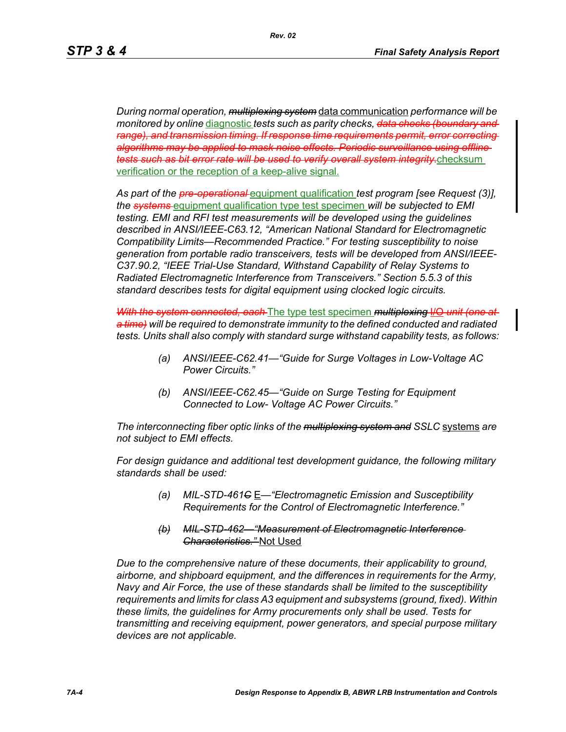*During normal operation, multiplexing system* data communication *performance will be monitored by online* diagnostic *tests such as parity checks, data checks (boundary and range), and transmission timing. If response time requirements permit, error correcting algorithms may be applied to mask noise effects. Periodic surveillance using offline tests such as bit error rate will be used to verify overall system integrity.*checksum verification or the reception of a keep-alive signal.

*As part of the pre-operational* equipment qualification *test program [see Request (3)], the systems* equipment qualification type test specimen *will be subjected to EMI testing. EMI and RFI test measurements will be developed using the guidelines described in ANSI/IEEE-C63.12, "American National Standard for Electromagnetic Compatibility Limits—Recommended Practice." For testing susceptibility to noise generation from portable radio transceivers, tests will be developed from ANSI/IEEE-C37.90.2, "IEEE Trial-Use Standard, Withstand Capability of Relay Systems to Radiated Electromagnetic Interference from Transceivers." Section 5.5.3 of this standard describes tests for digital equipment using clocked logic circuits.*

*With the system connected, each* The type test specimen *multiplexing* I/O *unit (one at a time) will be required to demonstrate immunity to the defined conducted and radiated tests. Units shall also comply with standard surge withstand capability tests, as follows:*

- *(a) ANSI/IEEE-C62.41—"Guide for Surge Voltages in Low-Voltage AC Power Circuits."*
- *(b) ANSI/IEEE-C62.45—"Guide on Surge Testing for Equipment Connected to Low- Voltage AC Power Circuits."*

*The interconnecting fiber optic links of the multiplexing system and SSLC* systems *are not subject to EMI effects.*

*For design guidance and additional test development guidance, the following military standards shall be used:*

- *(a) MIL-STD-461C* E*—"Electromagnetic Emission and Susceptibility Requirements for the Control of Electromagnetic Interference."*
- *(b) MIL-STD-462—"Measurement of Electromagnetic Interference Characteristics."* Not Used

*Due to the comprehensive nature of these documents, their applicability to ground, airborne, and shipboard equipment, and the differences in requirements for the Army, Navy and Air Force, the use of these standards shall be limited to the susceptibility requirements and limits for class A3 equipment and subsystems (ground, fixed). Within these limits, the guidelines for Army procurements only shall be used. Tests for transmitting and receiving equipment, power generators, and special purpose military devices are not applicable.*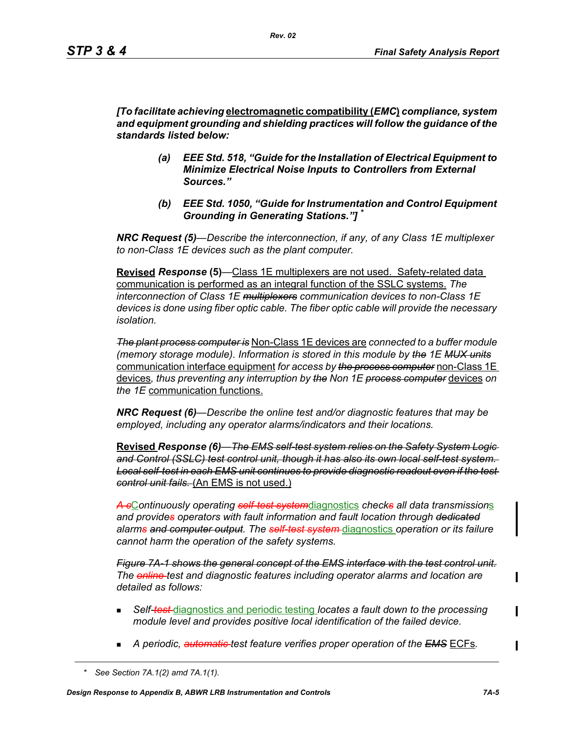*[To facilitate achieving* **electromagnetic compatibility (***EMC***)** *compliance, system and equipment grounding and shielding practices will follow the guidance of the standards listed below:*

- *(a) EEE Std. 518, "Guide for the Installation of Electrical Equipment to Minimize Electrical Noise Inputs to Controllers from External Sources."*
- *(b) EEE Std. 1050, "Guide for Instrumentation and Control Equipment Grounding in Generating Stations."] \**

*NRC Request (5)*—*Describe the interconnection, if any, of any Class 1E multiplexer to non-Class 1E devices such as the plant computer.* 

**Revised** *Response* **(5)***—*Class 1E multiplexers are not used. Safety-related data communication is performed as an integral function of the SSLC systems. *The interconnection of Class 1E multiplexers communication devices to non-Class 1E devices is done using fiber optic cable. The fiber optic cable will provide the necessary isolation.* 

*The plant process computer is* Non-Class 1E devices are *connected to a buffer module (memory storage module). Information is stored in this module by the 1E MUX units* communication interface equipment *for access by the process computer* non-Class 1E devices*, thus preventing any interruption by the Non 1E process computer* devices *on the 1E* communication functions.

*NRC Request (6)—Describe the online test and/or diagnostic features that may be employed, including any operator alarms/indicators and their locations.* 

**Revised** *Response (6)—The EMS self-test system relies on the Safety System Logic and Control (SSLC) test control unit, though it has also its own local self-test system. Local self-test in each EMS unit continues to provide diagnostic readout even if the test control unit fails.* (An EMS is not used.)

*A c*C*ontinuously operating self-test system*diagnostics *checks all data transmission*s *and provides operators with fault information and fault location through dedicated alarms and computer output. The self-test system* diagnostics *operation or its failure cannot harm the operation of the safety systems.*

*Figure 7A-1 shows the general concept of the EMS interface with the test control unit. The online test and diagnostic features including operator alarms and location are detailed as follows:*

- *Self-test* diagnostics and periodic testing *locates a fault down to the processing module level and provides positive local identification of the failed device.*
- *A periodic, automatic test feature verifies proper operation of the EMS* ECFs*.*

*<sup>\*</sup> See Section 7A.1(2) amd 7A.1(1).*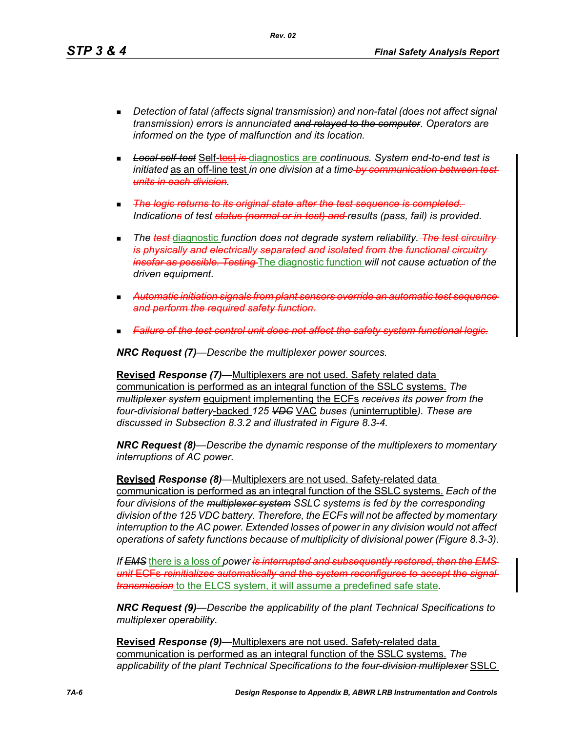*Detection of fatal (affects signal transmission) and non-fatal (does not affect signal transmission) errors is annunciated and relayed to the computer. Operators are* 

- *Local self-test* Self-test *is* diagnostics are *continuous. System end-to-end test is initiated* as an off-line test *in one division at a time by communication between test units in each division.*
- *The logic returns to its original state after the test sequence is completed. Indications of test status (normal or in-test) and results (pass, fail) is provided.*
- **The test-**diagnostic function does not degrade system reliability. The test circuitry*is physically and electrically separated and isolated from the functional circuitry insofar as possible. Testing* The diagnostic function *will not cause actuation of the driven equipment.*
- *Automatic initiation signals from plant sensors override an automatic test sequence and perform the required safety function.*
- *Failure of the test control unit does not affect the safety system functional logic.*

*NRC Request (7)—Describe the multiplexer power sources.*

*informed on the type of malfunction and its location.*

**Revised** *Response (7)—*Multiplexers are not used. Safety related data communication is performed as an integral function of the SSLC systems. *The multiplexer system* equipment implementing the ECFs *receives its power from the four-divisional battery*-backed *125 VDC* VAC *buses (*uninterruptible*). These are discussed in Subsection 8.3.2 and illustrated in Figure 8.3-4.*

*NRC Request (8)—Describe the dynamic response of the multiplexers to momentary interruptions of AC power.*

**Revised** *Response (8)—*Multiplexers are not used. Safety-related data communication is performed as an integral function of the SSLC systems. *Each of the four divisions of the multiplexer system SSLC systems is fed by the corresponding division of the 125 VDC battery. Therefore, the ECFs will not be affected by momentary interruption to the AC power. Extended losses of power in any division would not affect operations of safety functions because of multiplicity of divisional power (Figure 8.3-3).*

*If EMS* there is a loss of *power is interrupted and subsequently restored, then the EMS unit* ECFs *reinitializes automatically and the system reconfigures to accept the signal transmission* to the ELCS system, it will assume a predefined safe state*.*

*NRC Request (9)—Describe the applicability of the plant Technical Specifications to multiplexer operability.*

**Revised** *Response (9)—*Multiplexers are not used. Safety-related data communication is performed as an integral function of the SSLC systems. *The applicability of the plant Technical Specifications to the four-division multiplexer* SSLC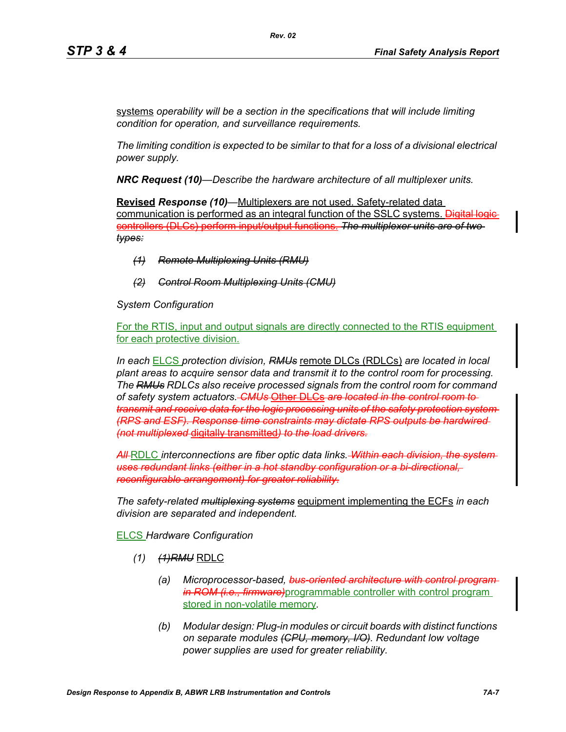systems *operability will be a section in the specifications that will include limiting condition for operation, and surveillance requirements.*

*Rev. 02*

*The limiting condition is expected to be similar to that for a loss of a divisional electrical power supply.*

*NRC Request (10)—Describe the hardware architecture of all multiplexer units.* 

**Revised** *Response (10)—*Multiplexers are not used. Safety-related data communication is performed as an integral function of the SSLC systems. Digital logic controllers (DLCs) perform input/output functions. *The multiplexer units are of two types:*

- *(1) Remote Multiplexing Units (RMU)*
- *(2) Control Room Multiplexing Units (CMU)*

*System Configuration*

For the RTIS, input and output signals are directly connected to the RTIS equipment for each protective division.

*In each* ELCS *protection division, RMUs* remote DLCs (RDLCs) *are located in local plant areas to acquire sensor data and transmit it to the control room for processing. The RMUs RDLCs also receive processed signals from the control room for command of safety system actuators. CMUs* Other DLCs *are located in the control room to transmit and receive data for the logic processing units of the safety protection system (RPS and ESF). Response time constraints may dictate RPS outputs be hardwired (not multiplexed* digitally transmitted*) to the load drivers.*

*All* RDLC *interconnections are fiber optic data links. Within each division, the system uses redundant links (either in a hot standby configuration or a bi-directional, reconfigurable arrangement) for greater reliability.*

*The safety-related multiplexing systems* equipment implementing the ECFs *in each division are separated and independent.*

ELCS *Hardware Configuration*

- *(1) (1)RMU* RDLC
	- *(a) Microprocessor-based, bus-oriented architecture with control program in ROM (i.e., firmware)*programmable controller with control program stored in non-volatile memory*.*
	- *(b) Modular design: Plug-in modules or circuit boards with distinct functions on separate modules (CPU, memory, I/O). Redundant low voltage power supplies are used for greater reliability.*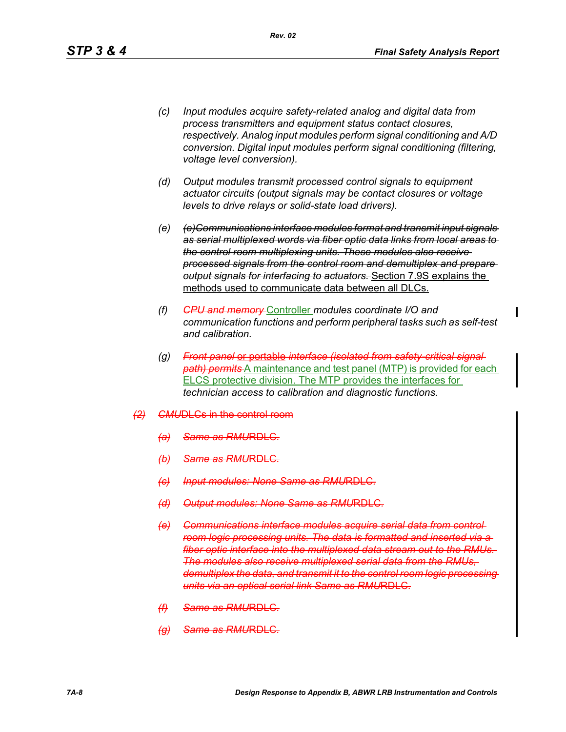- *(c) Input modules acquire safety-related analog and digital data from process transmitters and equipment status contact closures, respectively. Analog input modules perform signal conditioning and A/D conversion. Digital input modules perform signal conditioning (filtering, voltage level conversion).*
- *(d) Output modules transmit processed control signals to equipment actuator circuits (output signals may be contact closures or voltage levels to drive relays or solid-state load drivers).*
- *(e) (e)Communications interface modules format and transmit input signals as serial multiplexed words via fiber optic data links from local areas to the control room multiplexing units. These modules also receive processed signals from the control room and demultiplex and prepare output signals for interfacing to actuators.* Section 7.9S explains the methods used to communicate data between all DLCs.
- *(f) CPU and memory* Controller *modules coordinate I/O and communication functions and perform peripheral tasks such as self-test and calibration.*
- *(g) Front panel* or portable *interface (isolated from safety-critical signal path) permits* A maintenance and test panel (MTP) is provided for each ELCS protective division. The MTP provides the interfaces for *technician access to calibration and diagnostic functions.*

#### *(2) CMU*DLCs in the control room

- *(a) Same as RMU*RDLC*.*
- *(b) Same as RMU*RDLC*.*
- *(c) Input modules: None Same as RMU*RDLC*.*
- *(d)* Output modules: None Same
- *(e) Communications interface modules acquire serial data from control room logic processing units. The data is formatted and inserted via a fiber optic interface into the multiplexed data stream out to the RMUs. The modules also receive multiplexed serial data from the RMUs, demultiplex the data, and transmit it to the control room logic processing units via an optical serial link Same as RMU*RDLC*.*
- *(f) Same as RMU*RDLC*.*
- *(g) Same as RMU*RDLC*.*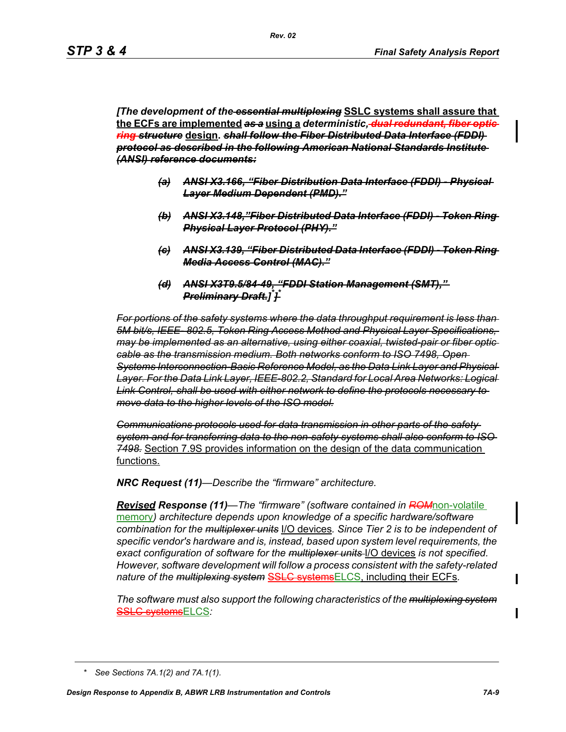*[The development of the essential multiplexing* **SSLC systems shall assure that the ECFs are implemented** *as a* **using a** *deterministic, dual redundant, fiber optic ring structure* **design.** *shall follow the Fiber Distributed Data Interface (FDDI) protocol as described in the following American National Standards Institute (ANSI) reference documents:*

- *(a) ANSI X3.166, "Fiber Distribution Data Interface (FDDI) Physical Layer Medium Dependent (PMD)."*
- *(b) ANSI X3.148,"Fiber Distributed Data Interface (FDDI) Token Ring Physical Layer Protocol (PHY)."*
- *(c) ANSI X3.139, "Fiber Distributed Data Interface (FDDI) Token Ring Media Access Control (MAC)."*
- *(d) ANSI X3T9.5/84-49, "FDDI Station Management (SMT)," Preliminary Draft.] \* ] \**

*For portions of the safety systems where the data throughput requirement is less than 5M bit/s, IEEE- 802.5, Token Ring Access Method and Physical Layer Specifications, may be implemented as an alternative, using either coaxial, twisted-pair or fiber optic cable as the transmission medium. Both networks conform to ISO 7498, Open Systems Interconnection-Basic Reference Model, as the Data Link Layer and Physical Layer. For the Data Link Layer, IEEE-802.2, Standard for Local Area Networks: Logical Link Control, shall be used with either network to define the protocols necessary to move data to the higher levels of the ISO model.*

*Communications protocols used for data transmission in other parts of the safety system and for transferring data to the non-safety systems shall also conform to ISO 7498.* Section 7.9S provides information on the design of the data communication functions.

*NRC Request (11)—Describe the "firmware" architecture.*

*Revised Response (11)—The "firmware" (software contained in ROM*non-volatile memory*) architecture depends upon knowledge of a specific hardware/software combination for the multiplexer units* I/O devices*. Since Tier 2 is to be independent of specific vendor's hardware and is, instead, based upon system level requirements, the exact configuration of software for the multiplexer units* I/O devices *is not specified. However, software development will follow a process consistent with the safety-related nature of the multiplexing system* SSLC systemsELCS, including their ECFs*.*

*The software must also support the following characteristics of the multiplexing system* SSLC systemsELCS*:*

*<sup>\*</sup> See Sections 7A.1(2) and 7A.1(1).*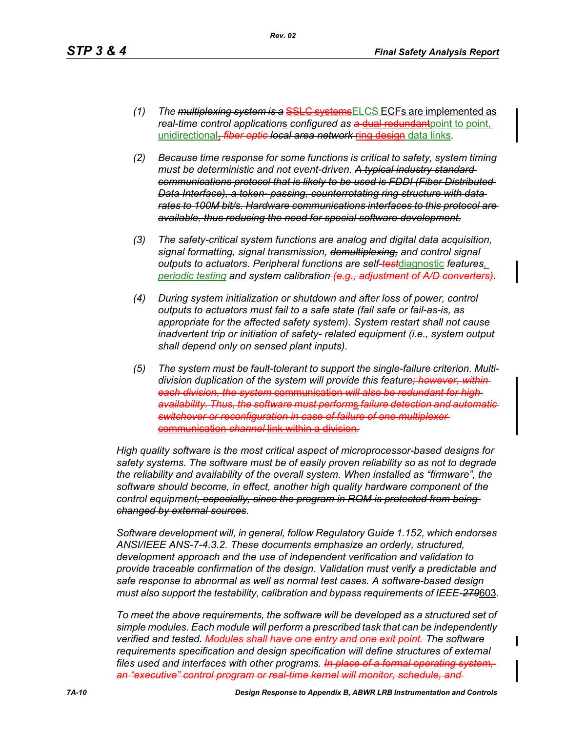- *(1) The multiplexing system is a* SSLC systemsELCS ECFs are implemented as *real-time control applications configured as a dual redundant point to point,* unidirectional, *fiber optic local area network* ring design data links*.*
- *(2) Because time response for some functions is critical to safety, system timing must be deterministic and not event-driven. A typical industry standard communications protocol that is likely to be used is FDDI (Fiber Distributed Data Interface), a token- passing, counterrotating ring structure with data rates to 100M bit/s. Hardware communications interfaces to this protocol are available, thus reducing the need for special software development.*
- *(3) The safety-critical system functions are analog and digital data acquisition, signal formatting, signal transmission, demultiplexing, and control signal outputs to actuators. Peripheral functions are self-test*diagnostic *features, periodic testing and system calibration (e.g., adjustment of A/D converters).*
- *(4) During system initialization or shutdown and after loss of power, control outputs to actuators must fail to a safe state (fail safe or fail-as-is, as appropriate for the affected safety system). System restart shall not cause inadvertent trip or initiation of safety- related equipment (i.e., system output shall depend only on sensed plant inputs).*
- *(5) The system must be fault-tolerant to support the single-failure criterion. Multi*division duplication of the system will provide this feature<del>; however, within</del> *each division, the system* communication *will also be redundant for high availability. Thus, the software must perform*s *failure detection and automatic switchover or reconfiguration in case of failure of one multiplexer* communication *channel* link within a division*.*

*High quality software is the most critical aspect of microprocessor-based designs for safety systems. The software must be of easily proven reliability so as not to degrade the reliability and availability of the overall system. When installed as "firmware", the software should become, in effect, another high quality hardware component of the control equipment, especially, since the program in ROM is protected from being changed by external sources.*

*Software development will, in general, follow Regulatory Guide 1.152, which endorses ANSI/IEEE ANS-7-4.3.2. These documents emphasize an orderly, structured, development approach and the use of independent verification and validation to provide traceable confirmation of the design. Validation must verify a predictable and safe response to abnormal as well as normal test cases. A software-based design must also support the testability, calibration and bypass requirements of IEEE-279*603*.*

*To meet the above requirements, the software will be developed as a structured set of simple modules. Each module will perform a prescribed task that can be independently verified and tested. Modules shall have one entry and one exit point. The software requirements specification and design specification will define structures of external*  files used and interfaces with other programs. In place of a formal operating syste *an "executive" control program or real-time kernel will monitor, schedule, and*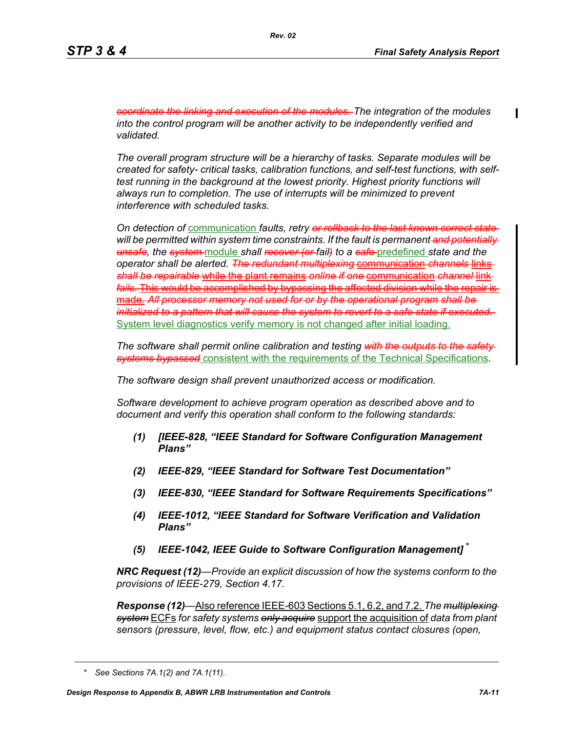*coordinate the linking and execution of the modules. The integration of the modules into the control program will be another activity to be independently verified and validated.* 

*The overall program structure will be a hierarchy of tasks. Separate modules will be created for safety- critical tasks, calibration functions, and self-test functions, with selftest running in the background at the lowest priority. Highest priority functions will always run to completion. The use of interrupts will be minimized to prevent interference with scheduled tasks.* 

*On detection of* communication *faults, retry or rollback to the last known correct state will be permitted within system time constraints. If the fault is permanent and potentially unsafe, the system* module *shall recover (or fail) to a safe* predefined *state and the operator shall be alerted. The redundant multiplexing* communication *channels* links *shall be repairable* while the plant remains *online if one* communication *channel* link *fails.* This would be accomplished by bypassing the affected division while the repair is made. *All processor memory not used for or by the operational program shall be initialized to a pattern that will cause the system to revert to a safe state if executed.*  System level diagnostics verify memory is not changed after initial loading.

*The software shall permit online calibration and testing with the outputs to the safety systems bypassed* consistent with the requirements of the Technical Specifications*.* 

*The software design shall prevent unauthorized access or modification.* 

*Software development to achieve program operation as described above and to document and verify this operation shall conform to the following standards:*

- *(1) [IEEE-828, "IEEE Standard for Software Configuration Management Plans"*
- *(2) IEEE-829, "IEEE Standard for Software Test Documentation"*
- *(3) IEEE-830, "IEEE Standard for Software Requirements Specifications"*
- *(4) IEEE-1012, "IEEE Standard for Software Verification and Validation Plans"*
- *(5) IEEE-1042, IEEE Guide to Software Configuration Management]* **\***

*NRC Request (12)—Provide an explicit discussion of how the systems conform to the provisions of IEEE-279, Section 4.17.* 

*Response (12)—*Also reference IEEE-603 Sections 5.1, 6.2, and 7.2. *The multiplexing system* ECFs *for safety systems only acquire* support the acquisition of *data from plant sensors (pressure, level, flow, etc.) and equipment status contact closures (open,* 

*<sup>\*</sup> See Sections 7A.1(2) and 7A.1(11).*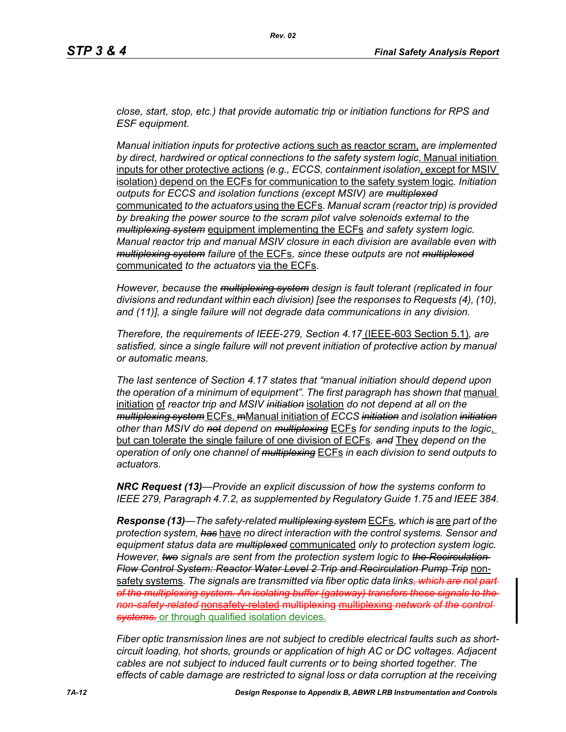*close, start, stop, etc.) that provide automatic trip or initiation functions for RPS and ESF equipment.* 

*Manual initiation inputs for protective action*s such as reactor scram, *are implemented by direct, hardwired or optical connections to the safety system logic*. Manual initiation inputs for other protective actions *(e.g., ECCS, containment isolation*, except for MSIV isolation) depend on the ECFs for communication to the safety system logic*. Initiation outputs for ECCS and isolation functions (except MSIV) are multiplexed* communicated *to the actuators* using the ECFs*. Manual scram (reactor trip) is provided by breaking the power source to the scram pilot valve solenoids external to the multiplexing system* equipment implementing the ECFs *and safety system logic. Manual reactor trip and manual MSIV closure in each division are available even with multiplexing system failure* of the ECFs*, since these outputs are not multiplexed* communicated *to the actuators* via the ECFs*.* 

*However, because the multiplexing system design is fault tolerant (replicated in four divisions and redundant within each division) [see the responses to Requests (4), (10), and (11)], a single failure will not degrade data communications in any division.* 

*Therefore, the requirements of IEEE-279, Section 4.17* (IEEE-603 Section 5.1)*, are satisfied, since a single failure will not prevent initiation of protective action by manual or automatic means.* 

*The last sentence of Section 4.17 states that "manual initiation should depend upon*  the operation of a minimum of equipment". The first paragraph has shown that manual initiation of *reactor trip and MSIV initiation* isolation *do not depend at all on the multiplexing system* ECFs. mManual initiation of *ECCS initiation and isolation initiation other than MSIV do not depend on multiplexing* ECFs *for sending inputs to the logic*, but can tolerate the single failure of one division of ECFs*. and* They *depend on the operation of only one channel of multiplexing* ECFs *in each division to send outputs to actuators.* 

*NRC Request (13)—Provide an explicit discussion of how the systems conform to IEEE 279, Paragraph 4.7.2, as supplemented by Regulatory Guide 1.75 and IEEE 384.*

*Response (13)—The safety-related multiplexing system* ECFs*, which is* are *part of the protection system, has* have *no direct interaction with the control systems. Sensor and equipment status data are multiplexed* communicated *only to protection system logic. However, two signals are sent from the protection system logic to the Recirculation Flow Control System: Reactor Water Level 2 Trip and Recirculation Pump Trip* nonsafety systems*. The signals are transmitted via fiber optic data links, which are not part of the multiplexing system. An isolating buffer (gateway) transfers these signals to the non-safety-related* nonsafety-related multiplexing multiplexing *network of the control systems.* or through qualified isolation devices.

*Fiber optic transmission lines are not subject to credible electrical faults such as shortcircuit loading, hot shorts, grounds or application of high AC or DC voltages. Adjacent cables are not subject to induced fault currents or to being shorted together. The effects of cable damage are restricted to signal loss or data corruption at the receiving*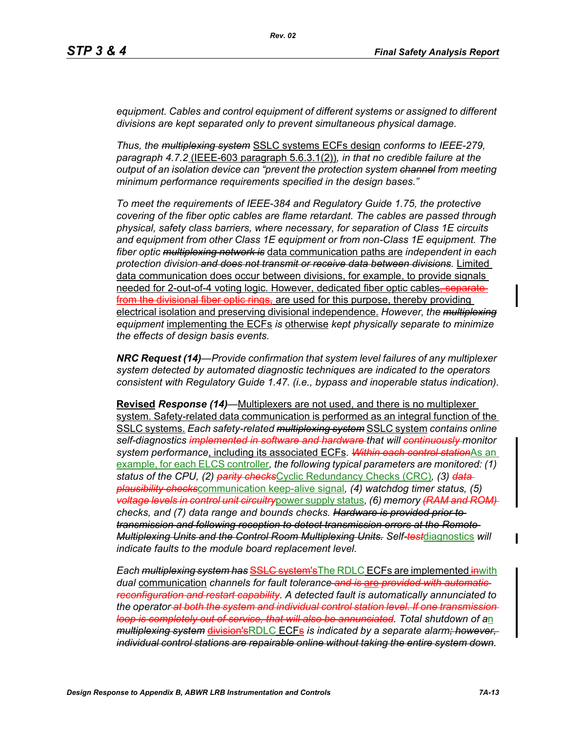*equipment. Cables and control equipment of different systems or assigned to different divisions are kept separated only to prevent simultaneous physical damage.* 

*Thus, the multiplexing system* SSLC systems ECFs design *conforms to IEEE-279, paragraph 4.7.2* (IEEE-603 paragraph 5.6.3.1(2))*, in that no credible failure at the output of an isolation device can "prevent the protection system channel from meeting minimum performance requirements specified in the design bases."*

*To meet the requirements of IEEE-384 and Regulatory Guide 1.75, the protective covering of the fiber optic cables are flame retardant. The cables are passed through physical, safety class barriers, where necessary, for separation of Class 1E circuits and equipment from other Class 1E equipment or from non-Class 1E equipment. The fiber optic multiplexing network is* data communication paths are *independent in each protection division and does not transmit or receive data between divisions.* Limited data communication does occur between divisions, for example, to provide signals needed for 2-out-of-4 voting logic. However, dedicated fiber optic cables, separate from the divisional fiber optic rings, are used for this purpose, thereby providing electrical isolation and preserving divisional independence. *However, the multiplexing equipment* implementing the ECFs *is* otherwise *kept physically separate to minimize the effects of design basis events.* 

*NRC Request (14)—Provide confirmation that system level failures of any multiplexer system detected by automated diagnostic techniques are indicated to the operators consistent with Regulatory Guide 1.47. (i.e., bypass and inoperable status indication).*

**Revised** *Response (14)—*Multiplexers are not used, and there is no multiplexer system. Safety-related data communication is performed as an integral function of the SSLC systems. *Each safety-related multiplexing system* SSLC system *contains online self-diagnostics implemented in software and hardware that will continuously monitor system performance*, including its associated ECFs*. Within each control station*As an example, for each ELCS controller*, the following typical parameters are monitored: (1) status of the CPU, (2) parity checks*Cyclic Redundancy Checks (CRC)*, (3) data plausibility checks*communication keep-alive signal*, (4) watchdog timer status, (5) voltage levels in control unit circuitry*power supply status*, (6) memory (RAM and ROM) checks, and (7) data range and bounds checks. Hardware is provided prior to transmission and following reception to detect transmission errors at the Remote Multiplexing Units and the Control Room Multiplexing Units. Self-test*diagnostics *will indicate faults to the module board replacement level.* 

*Each multiplexing system has* SSLC system'sThe RDLC ECFs are implemented inwith *dual* communication *channels for fault tolerance and is* are *provided with automatic reconfiguration and restart capability. A detected fault is automatically annunciated to the operator at both the system and individual control station level. If one transmission loop is completely out of service, that will also be annunciated. Total shutdown of a*n *multiplexing system* division'sRDLC ECFs *is indicated by a separate alarm; however, individual control stations are repairable online without taking the entire system down.*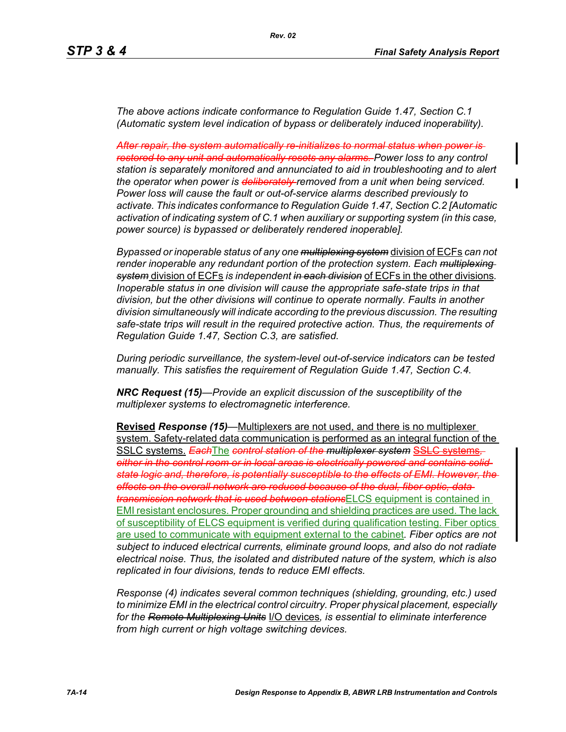*The above actions indicate conformance to Regulation Guide 1.47, Section C.1 (Automatic system level indication of bypass or deliberately induced inoperability).* 

*After repair, the system automatically re-initializes to normal status when power is restored to any unit and automatically resets any alarms. Power loss to any control station is separately monitored and annunciated to aid in troubleshooting and to alert the operator when power is deliberately removed from a unit when being serviced. Power loss will cause the fault or out-of-service alarms described previously to activate. This indicates conformance to Regulation Guide 1.47, Section C.2 [Automatic activation of indicating system of C.1 when auxiliary or supporting system (in this case, power source) is bypassed or deliberately rendered inoperable].* 

*Bypassed or inoperable status of any one multiplexing system* division of ECFs *can not*  render inoperable any redundant portion of the protection system. Each multiplexing *system* division of ECFs *is independent in each division* of ECFs in the other divisions*. Inoperable status in one division will cause the appropriate safe-state trips in that division, but the other divisions will continue to operate normally. Faults in another division simultaneously will indicate according to the previous discussion. The resulting safe-state trips will result in the required protective action. Thus, the requirements of Regulation Guide 1.47, Section C.3, are satisfied.* 

*During periodic surveillance, the system-level out-of-service indicators can be tested manually. This satisfies the requirement of Regulation Guide 1.47, Section C.4.* 

*NRC Request (15)—Provide an explicit discussion of the susceptibility of the multiplexer systems to electromagnetic interference.*

**Revised** *Response (15)—*Multiplexers are not used, and there is no multiplexer system. Safety-related data communication is performed as an integral function of the SSLC systems. *Each*The *control station of the multiplexer system* SSLC systems*, either in the control room or in local areas is electrically powered and contains solidstate logic and, therefore, is potentially susceptible to the effects of EMI. However, the effects on the overall network are reduced because of the dual, fiber optic, data transmission network that is used between stations*ELCS equipment is contained in EMI resistant enclosures. Proper grounding and shielding practices are used. The lack of susceptibility of ELCS equipment is verified during qualification testing. Fiber optics are used to communicate with equipment external to the cabinet*. Fiber optics are not subject to induced electrical currents, eliminate ground loops, and also do not radiate electrical noise. Thus, the isolated and distributed nature of the system, which is also replicated in four divisions, tends to reduce EMI effects.* 

*Response (4) indicates several common techniques (shielding, grounding, etc.) used to minimize EMI in the electrical control circuitry. Proper physical placement, especially for the Remote Multiplexing Units* I/O devices*, is essential to eliminate interference from high current or high voltage switching devices.*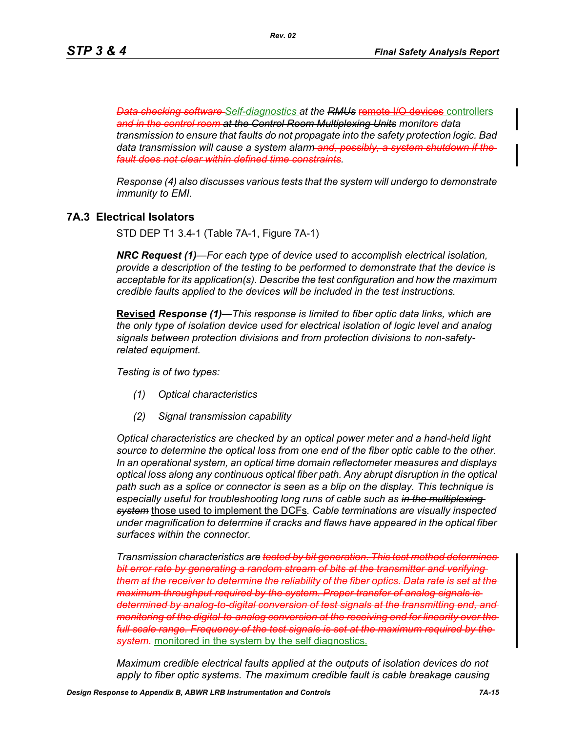**Data checking software Self-diagnostics at the RMUs remote I/O devices controllers** *and in the control room at the Control Room Multiplexing Units monitors data transmission to ensure that faults do not propagate into the safety protection logic. Bad data transmission will cause a system alarm and, possibly, a system shutdown if the fault does not clear within defined time constraints.*

*Response (4) also discusses various tests that the system will undergo to demonstrate immunity to EMI.*

### **7A.3 Electrical Isolators**

STD DEP T1 3.4-1 (Table 7A-1, Figure 7A-1)

*NRC Request (1)—For each type of device used to accomplish electrical isolation, provide a description of the testing to be performed to demonstrate that the device is acceptable for its application(s). Describe the test configuration and how the maximum credible faults applied to the devices will be included in the test instructions.*

**Revised** *Response (1)—This response is limited to fiber optic data links, which are the only type of isolation device used for electrical isolation of logic level and analog signals between protection divisions and from protection divisions to non-safetyrelated equipment.* 

*Testing is of two types:*

- *(1) Optical characteristics*
- *(2) Signal transmission capability*

*Optical characteristics are checked by an optical power meter and a hand-held light source to determine the optical loss from one end of the fiber optic cable to the other. In an operational system, an optical time domain reflectometer measures and displays optical loss along any continuous optical fiber path. Any abrupt disruption in the optical path such as a splice or connector is seen as a blip on the display. This technique is especially useful for troubleshooting long runs of cable such as in the multiplexing system* those used to implement the DCFs*. Cable terminations are visually inspected under magnification to determine if cracks and flaws have appeared in the optical fiber surfaces within the connector.* 

*Transmission characteristics are tested by bit generation. This test method determines bit error rate by generating a random stream of bits at the transmitter and verifying them at the receiver to determine the reliability of the fiber optics. Data rate is set at the maximum throughput required by the system. Proper transfer of analog signals is determined by analog-to-digital conversion of test signals at the transmitting end, and monitoring of the digital-to-analog conversion at the receiving end for linearity over the full scale range. Frequency of the test signals is set at the maximum required by the*  **system.** monitored in the system by the self diagnostics.

*Maximum credible electrical faults applied at the outputs of isolation devices do not apply to fiber optic systems. The maximum credible fault is cable breakage causing*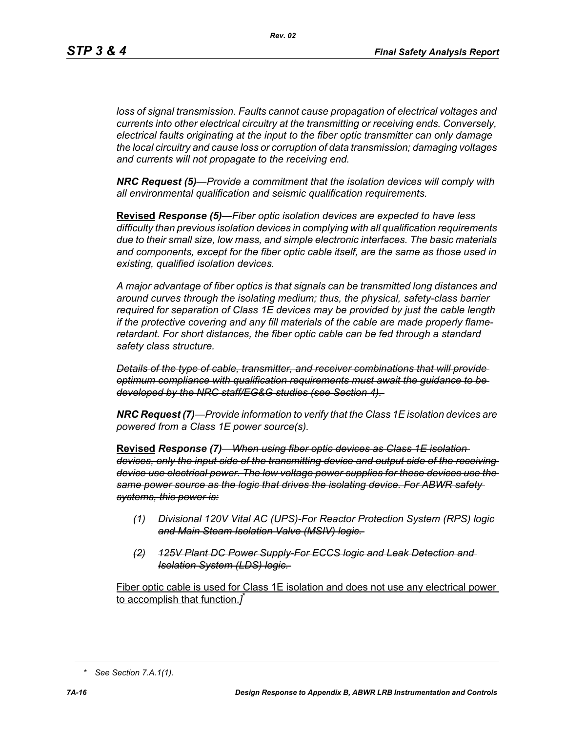*Rev. 02*

*loss of signal transmission. Faults cannot cause propagation of electrical voltages and currents into other electrical circuitry at the transmitting or receiving ends. Conversely, electrical faults originating at the input to the fiber optic transmitter can only damage the local circuitry and cause loss or corruption of data transmission; damaging voltages and currents will not propagate to the receiving end.* 

*NRC Request (5)—Provide a commitment that the isolation devices will comply with all environmental qualification and seismic qualification requirements.*

**Revised** *Response (5)—Fiber optic isolation devices are expected to have less difficulty than previous isolation devices in complying with all qualification requirements due to their small size, low mass, and simple electronic interfaces. The basic materials and components, except for the fiber optic cable itself, are the same as those used in existing, qualified isolation devices.* 

*A major advantage of fiber optics is that signals can be transmitted long distances and around curves through the isolating medium; thus, the physical, safety-class barrier required for separation of Class 1E devices may be provided by just the cable length if the protective covering and any fill materials of the cable are made properly flameretardant. For short distances, the fiber optic cable can be fed through a standard safety class structure.* 

*Details of the type of cable, transmitter, and receiver combinations that will provide optimum compliance with qualification requirements must await the guidance to be developed by the NRC staff/EG&G studies (see Section 4).* 

*NRC Request (7)—Provide information to verify that the Class 1E isolation devices are powered from a Class 1E power source(s).*

**Revised** *Response (7)—When using fiber optic devices as Class 1E isolation devices, only the input side of the transmitting device and output side of the receiving device use electrical power. The low voltage power supplies for these devices use the same power source as the logic that drives the isolating device. For ABWR safety systems, this power is:*

- *(1) Divisional 120V Vital AC (UPS)-For Reactor Protection System (RPS) logic and Main Steam Isolation Valve (MSIV) logic.*
- *(2) 125V Plant DC Power Supply-For ECCS logic and Leak Detection and Isolation System (LDS) logic.*

Fiber optic cable is used for Class 1E isolation and does not use any electrical power to accomplish that function.*]* \*

*<sup>\*</sup> See Section 7.A.1(1).*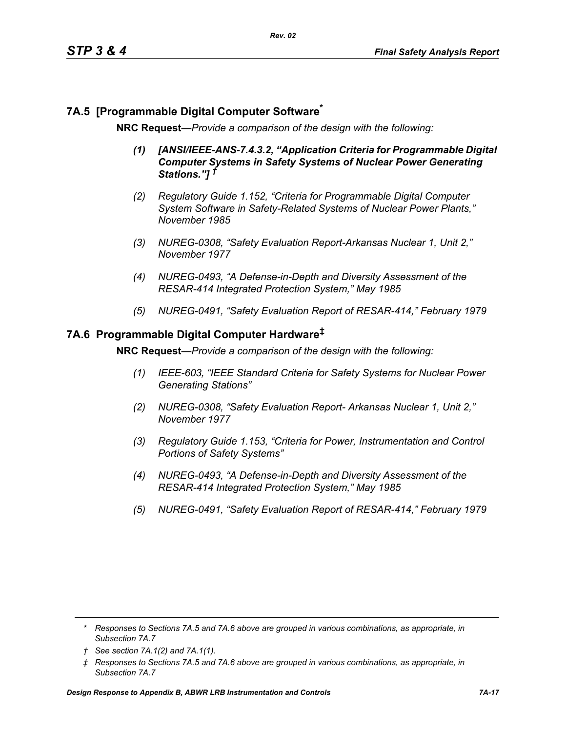# **7A.5 [Programmable Digital Computer Software\***

**NRC Request***—Provide a comparison of the design with the following:*

- *(1) [ANSI/IEEE-ANS-7.4.3.2, "Application Criteria for Programmable Digital Computer Systems in Safety Systems of Nuclear Power Generating Stations."] †*
- *(2) Regulatory Guide 1.152, "Criteria for Programmable Digital Computer System Software in Safety-Related Systems of Nuclear Power Plants," November 1985*
- *(3) NUREG-0308, "Safety Evaluation Report-Arkansas Nuclear 1, Unit 2," November 1977*
- *(4) NUREG-0493, "A Defense-in-Depth and Diversity Assessment of the RESAR-414 Integrated Protection System," May 1985*
- *(5) NUREG-0491, "Safety Evaluation Report of RESAR-414," February 1979*

### **7A.6 Programmable Digital Computer Hardware‡**

**NRC Request***—Provide a comparison of the design with the following:*

- *(1) IEEE-603, "IEEE Standard Criteria for Safety Systems for Nuclear Power Generating Stations"*
- *(2) NUREG-0308, "Safety Evaluation Report- Arkansas Nuclear 1, Unit 2," November 1977*
- *(3) Regulatory Guide 1.153, "Criteria for Power, Instrumentation and Control Portions of Safety Systems"*
- *(4) NUREG-0493, "A Defense-in-Depth and Diversity Assessment of the RESAR-414 Integrated Protection System," May 1985*
- *(5) NUREG-0491, "Safety Evaluation Report of RESAR-414," February 1979*

*<sup>\*</sup> Responses to Sections 7A.5 and 7A.6 above are grouped in various combinations, as appropriate, in Subsection 7A.7*

*<sup>†</sup> See section 7A.1(2) and 7A.1(1).*

*<sup>‡</sup> Responses to Sections 7A.5 and 7A.6 above are grouped in various combinations, as appropriate, in Subsection 7A.7*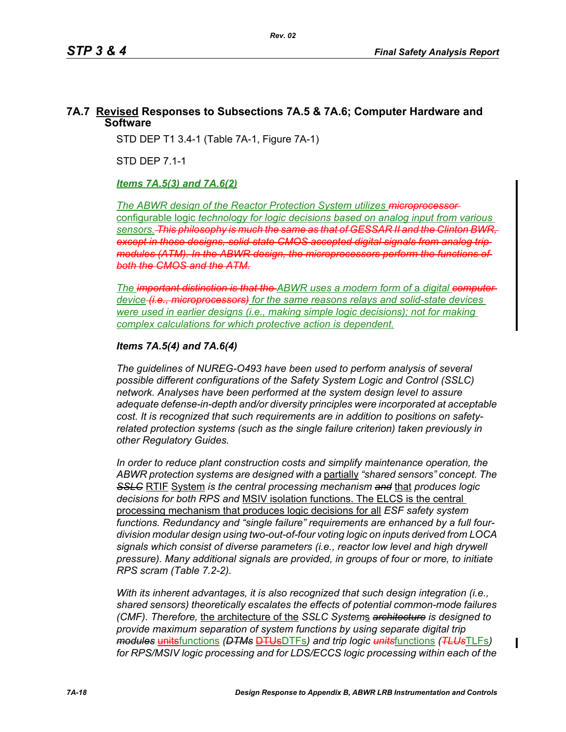# **7A.7 Revised Responses to Subsections 7A.5 & 7A.6; Computer Hardware and Software**

STD DEP T1 3.4-1 (Table 7A-1, Figure 7A-1)

STD DEP 7.1-1

# *Items 7A.5(3) and 7A.6(2)*

*The ABWR design of the Reactor Protection System utilizes microprocessor and Meximizes microprocessor and Meximizes microprocessor and Meximizes microprocessor and Meximizes microprocessor and Meximizes microprocessor an* configurable logic *technology for logic decisions based on analog input from various sensors. This philosophy is much the same as that of GESSAR II and the Clinton BWR, except in those designs, solid-state CMOS accepted digital signals from analog trip modules (ATM). In the ABWR design, the microprocessors perform the functions of both the CMOS and the ATM.*

*The important distinction is that the ABWR uses a modern form of a digital computer device (i.e., microprocessors) for the same reasons relays and solid-state devices were used in earlier designs (i.e., making simple logic decisions); not for making complex calculations for which protective action is dependent.*

### *Items 7A.5(4) and 7A.6(4)*

*The guidelines of NUREG-O493 have been used to perform analysis of several possible different configurations of the Safety System Logic and Control (SSLC) network. Analyses have been performed at the system design level to assure adequate defense-in-depth and/or diversity principles were incorporated at acceptable cost. It is recognized that such requirements are in addition to positions on safetyrelated protection systems (such as the single failure criterion) taken previously in other Regulatory Guides.*

*In order to reduce plant construction costs and simplify maintenance operation, the ABWR protection systems are designed with a* partially *"shared sensors" concept. The SSLC* RTIF System *is the central processing mechanism and* that *produces logic decisions for both RPS and* MSIV isolation functions. The ELCS is the central processing mechanism that produces logic decisions for all *ESF safety system functions. Redundancy and "single failure" requirements are enhanced by a full fourdivision modular design using two-out-of-four voting logic on inputs derived from LOCA signals which consist of diverse parameters (i.e., reactor low level and high drywell pressure). Many additional signals are provided, in groups of four or more, to initiate RPS scram (Table 7.2-2).*

*With its inherent advantages, it is also recognized that such design integration (i.e., shared sensors) theoretically escalates the effects of potential common-mode failures (CMF). Therefore,* the architecture of the *SSLC System*s *architecture is designed to provide maximum separation of system functions by using separate digital trip modules* unitsfunctions *(DTMs* DTUsDTFs*) and trip logic units*functions *(TLUs*TLFs*) for RPS/MSIV logic processing and for LDS/ECCS logic processing within each of the* 

I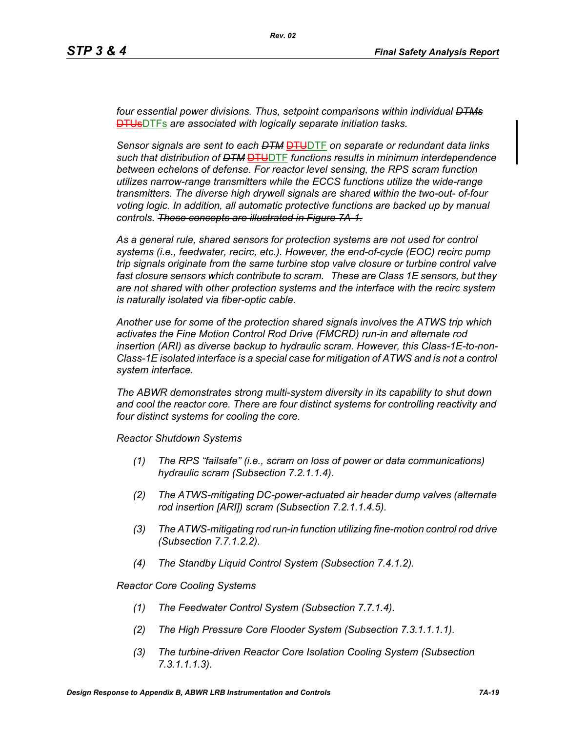*four essential power divisions. Thus, setpoint comparisons within individual DTMs* DTUsDTFs *are associated with logically separate initiation tasks.* 

*Sensor signals are sent to each DTM* DTUDTF *on separate or redundant data links*  such that distribution of <del>DTM **DTU**DTF</del> functions results in minimum interdependence *between echelons of defense. For reactor level sensing, the RPS scram function utilizes narrow-range transmitters while the ECCS functions utilize the wide-range transmitters. The diverse high drywell signals are shared within the two-out- of-four voting logic. In addition, all automatic protective functions are backed up by manual controls. These concepts are illustrated in Figure 7A-1.*

*As a general rule, shared sensors for protection systems are not used for control systems (i.e., feedwater, recirc, etc.). However, the end-of-cycle (EOC) recirc pump trip signals originate from the same turbine stop valve closure or turbine control valve fast closure sensors which contribute to scram. These are Class 1E sensors, but they are not shared with other protection systems and the interface with the recirc system is naturally isolated via fiber-optic cable.*

*Another use for some of the protection shared signals involves the ATWS trip which activates the Fine Motion Control Rod Drive (FMCRD) run-in and alternate rod insertion (ARI) as diverse backup to hydraulic scram. However, this Class-1E-to-non-Class-1E isolated interface is a special case for mitigation of ATWS and is not a control system interface.* 

*The ABWR demonstrates strong multi-system diversity in its capability to shut down and cool the reactor core. There are four distinct systems for controlling reactivity and four distinct systems for cooling the core.* 

*Reactor Shutdown Systems*

- *(1) The RPS "failsafe" (i.e., scram on loss of power or data communications) hydraulic scram (Subsection 7.2.1.1.4).*
- *(2) The ATWS-mitigating DC-power-actuated air header dump valves (alternate rod insertion [ARI]) scram (Subsection 7.2.1.1.4.5).*
- *(3) The ATWS-mitigating rod run-in function utilizing fine-motion control rod drive (Subsection 7.7.1.2.2).*
- *(4) The Standby Liquid Control System (Subsection 7.4.1.2).*

*Reactor Core Cooling Systems*

- *(1) The Feedwater Control System (Subsection 7.7.1.4).*
- *(2) The High Pressure Core Flooder System (Subsection 7.3.1.1.1.1).*
- *(3) The turbine-driven Reactor Core Isolation Cooling System (Subsection 7.3.1.1.1.3).*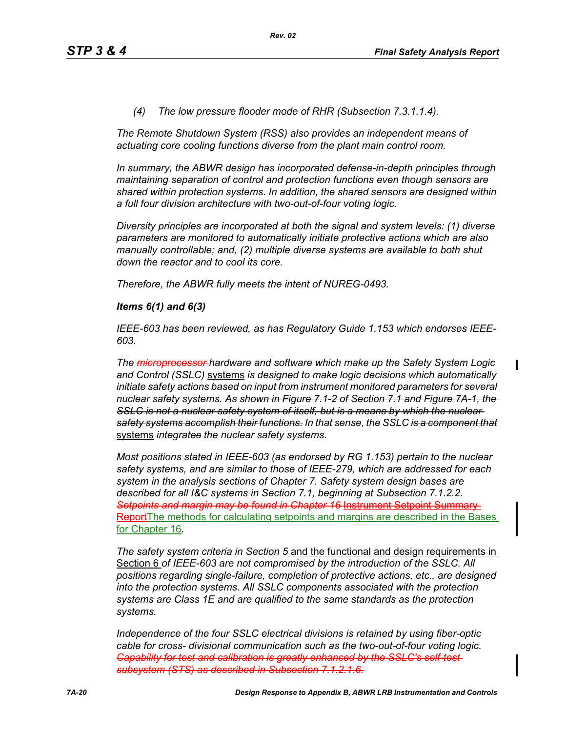#### *(4) The low pressure flooder mode of RHR (Subsection 7.3.1.1.4).*

*The Remote Shutdown System (RSS) also provides an independent means of actuating core cooling functions diverse from the plant main control room.*

*In summary, the ABWR design has incorporated defense-in-depth principles through maintaining separation of control and protection functions even though sensors are shared within protection systems. In addition, the shared sensors are designed within a full four division architecture with two-out-of-four voting logic.* 

*Diversity principles are incorporated at both the signal and system levels: (1) diverse parameters are monitored to automatically initiate protective actions which are also manually controllable; and, (2) multiple diverse systems are available to both shut down the reactor and to cool its core.* 

*Therefore, the ABWR fully meets the intent of NUREG-0493.*

#### *Items 6(1) and 6(3)*

*IEEE-603 has been reviewed, as has Regulatory Guide 1.153 which endorses IEEE-603.*

*The microprocessor hardware and software which make up the Safety System Logic and Control (SSLC)* systems *is designed to make logic decisions which automatically initiate safety actions based on input from instrument monitored parameters for several nuclear safety systems. As shown in Figure 7.1-2 of Section 7.1 and Figure 7A-1, the*  SSLC is not a nuclear safety system of itself, but is a means by which the nuclear *safety systems accomplish their functions. In that sense, the SSLC is a component that* systems *integrates the nuclear safety systems.*

*Most positions stated in IEEE-603 (as endorsed by RG 1.153) pertain to the nuclear safety systems, and are similar to those of IEEE-279, which are addressed for each system in the analysis sections of Chapter 7. Safety system design bases are described for all I&C systems in Section 7.1, beginning at Subsection 7.1.2.2. Setpoints and margin may be found in Chapter 16* Instrument Setpoint Summary Report The methods for calculating setpoints and margins are described in the Bases for Chapter 16*.*

*The safety system criteria in Section 5* and the functional and design requirements in Section 6 *of IEEE-603 are not compromised by the introduction of the SSLC. All positions regarding single-failure, completion of protective actions, etc., are designed into the protection systems. All SSLC components associated with the protection systems are Class 1E and are qualified to the same standards as the protection systems.*

*Independence of the four SSLC electrical divisions is retained by using fiber-optic cable for cross- divisional communication such as the two-out-of-four voting logic. Capability for test and calibration is greatly enhanced by the SSLC's self-testsubsystem (STS) as described in Subsection 7.1.2.1.6.*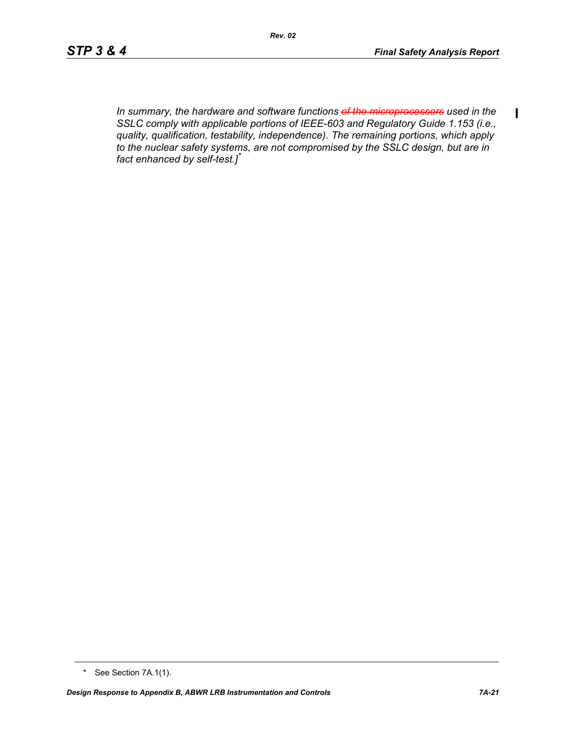$\mathbf I$ 

*In summary, the hardware and software functions of the microprocessors used in the SSLC comply with applicable portions of IEEE-603 and Regulatory Guide 1.153 (i.e., quality, qualification, testability, independence). The remaining portions, which apply to the nuclear safety systems, are not compromised by the SSLC design, but are in fact enhanced by self-test.]\**

<sup>\*</sup> See Section 7A.1(1).